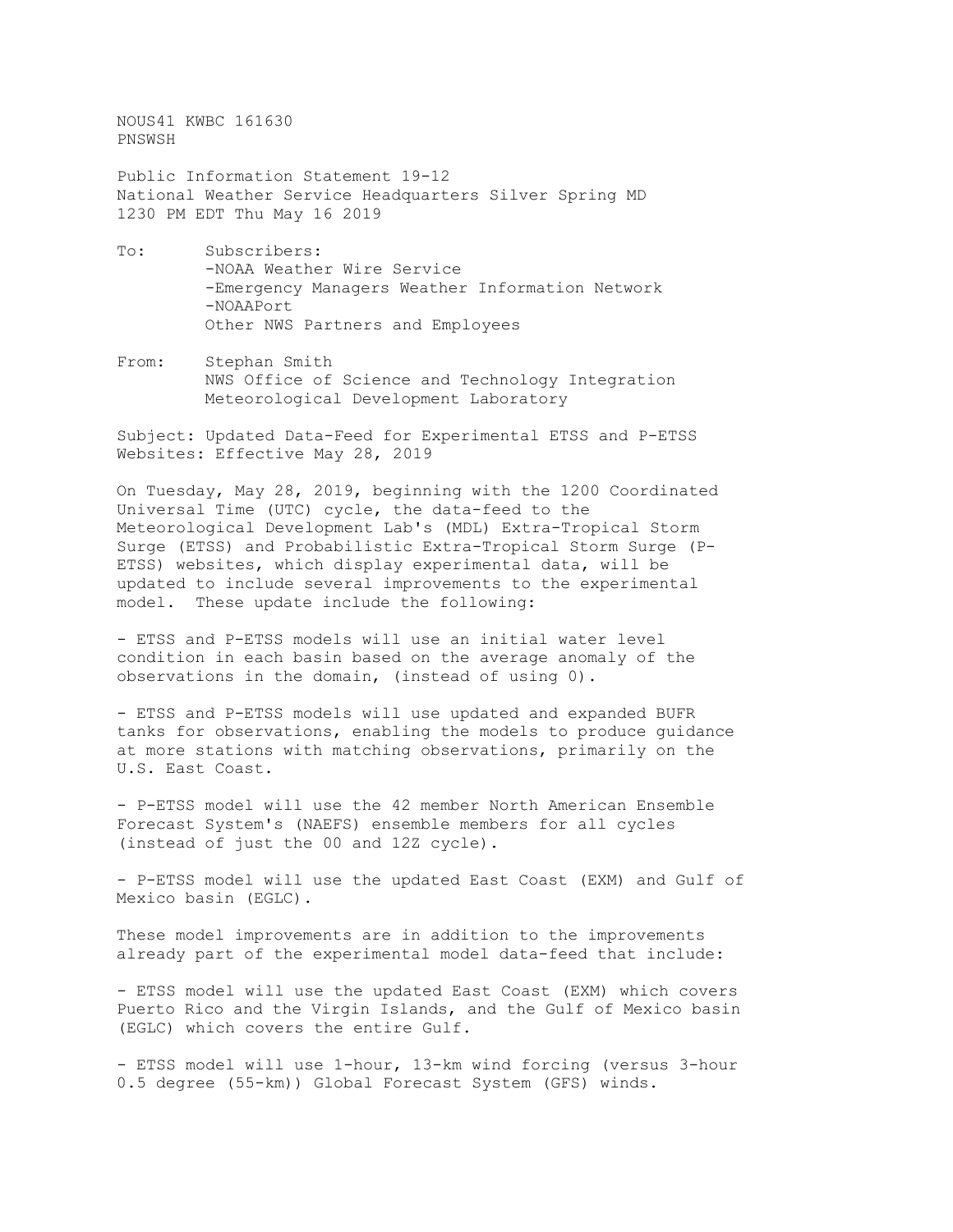NOUS41 KWBC 161630 PNSWSH

Public Information Statement 19-12 National Weather Service Headquarters Silver Spring MD 1230 PM EDT Thu May 16 2019

- To: Subscribers: -NOAA Weather Wire Service -Emergency Managers Weather Information Network -NOAAPort Other NWS Partners and Employees
- From: Stephan Smith NWS Office of Science and Technology Integration Meteorological Development Laboratory

Subject: Updated Data-Feed for Experimental ETSS and P-ETSS Websites: Effective May 28, 2019

On Tuesday, May 28, 2019, beginning with the 1200 Coordinated Universal Time (UTC) cycle, the data-feed to the Meteorological Development Lab's (MDL) Extra-Tropical Storm Surge (ETSS) and Probabilistic Extra-Tropical Storm Surge (P-ETSS) websites, which display experimental data, will be updated to include several improvements to the experimental model. These update include the following:

- ETSS and P-ETSS models will use an initial water level condition in each basin based on the average anomaly of the observations in the domain, (instead of using 0).

- ETSS and P-ETSS models will use updated and expanded BUFR tanks for observations, enabling the models to produce guidance at more stations with matching observations, primarily on the U.S. East Coast.

- P-ETSS model will use the 42 member North American Ensemble Forecast System's (NAEFS) ensemble members for all cycles (instead of just the 00 and 12Z cycle).

- P-ETSS model will use the updated East Coast (EXM) and Gulf of Mexico basin (EGLC).

These model improvements are in addition to the improvements already part of the experimental model data-feed that include:

- ETSS model will use the updated East Coast (EXM) which covers Puerto Rico and the Virgin Islands, and the Gulf of Mexico basin (EGLC) which covers the entire Gulf.

- ETSS model will use 1-hour, 13-km wind forcing (versus 3-hour 0.5 degree (55-km)) Global Forecast System (GFS) winds.